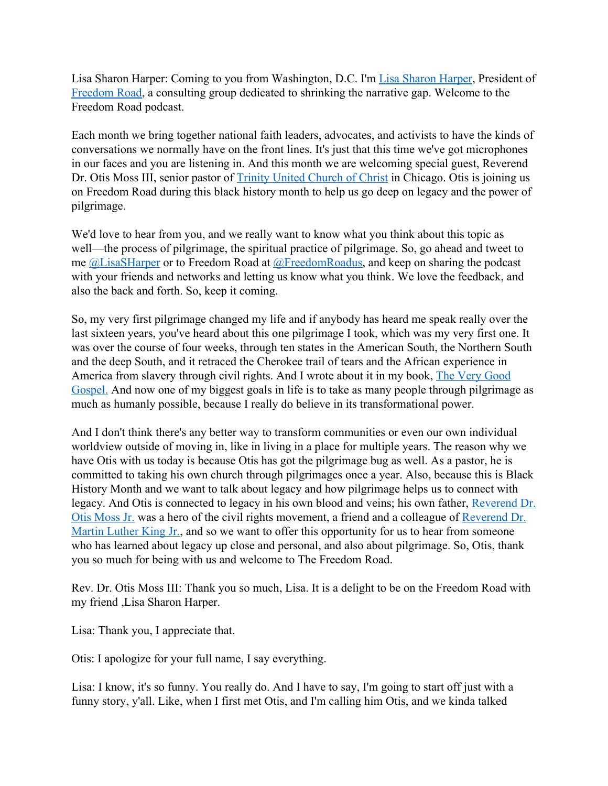Lisa Sharon Harper: Coming to you from Washington, D.C. I'm [Lisa Sharon Harper,](https://lisasharonharper.com/) President of [Freedom Road,](https://freedomroad.us/) a consulting group dedicated to shrinking the narrative gap. Welcome to the Freedom Road podcast.

Each month we bring together national faith leaders, advocates, and activists to have the kinds of conversations we normally have on the front lines. It's just that this time we've got microphones in our faces and you are listening in. And this month we are welcoming special guest, Reverend Dr. Otis Moss III, senior pastor of [Trinity United Church of Christ](https://www.trinitychicago.org/rev-dr-otis-moss-iii/) in Chicago. Otis is joining us on Freedom Road during this black history month to help us go deep on legacy and the power of pilgrimage.

We'd love to hear from you, and we really want to know what you think about this topic as well—the process of pilgrimage, the spiritual practice of pilgrimage. So, go ahead and tweet to me [@LisaSHarper](http://www.twitter.com/lisasharper) or to Freedom Road at [@FreedomRoadus](http://www.twitter.com/FreedomRoadus), and keep on sharing the podcast with your friends and networks and letting us know what you think. We love the feedback, and also the back and forth. So, keep it coming.

So, my very first pilgrimage changed my life and if anybody has heard me speak really over the last sixteen years, you've heard about this one pilgrimage I took, which was my very first one. It was over the course of four weeks, through ten states in the American South, the Northern South and the deep South, and it retraced the Cherokee trail of tears and the African experience in America from slavery through civil rights. And I wrote about it in my book, [The Very Good](https://amzn.to/38xozwa) [Gospel.](https://amzn.to/38xozwa) And now one of my biggest goals in life is to take as many people through pilgrimage as much as humanly possible, because I really do believe in its transformational power.

And I don't think there's any better way to transform communities or even our own individual worldview outside of moving in, like in living in a place for multiple years. The reason why we have Otis with us today is because Otis has got the pilgrimage bug as well. As a pastor, he is committed to taking his own church through pilgrimages once a year. Also, because this is Black History Month and we want to talk about legacy and how pilgrimage helps us to connect with legacy. And Otis is connected to legacy in his own blood and veins; his own father, [Reverend Dr.](https://en.wikipedia.org/wiki/Otis_Moss_Jr.) [Otis Moss Jr.](https://en.wikipedia.org/wiki/Otis_Moss_Jr.) was a hero of the civil rights movement, a friend and a colleague of [Reverend Dr.](https://www.nobelprize.org/prizes/peace/1964/king/biographical/) [Martin Luther King Jr.,](https://www.nobelprize.org/prizes/peace/1964/king/biographical/) and so we want to offer this opportunity for us to hear from someone who has learned about legacy up close and personal, and also about pilgrimage. So, Otis, thank you so much for being with us and welcome to The Freedom Road.

Rev. Dr. Otis Moss III: Thank you so much, Lisa. It is a delight to be on the Freedom Road with my friend ,Lisa Sharon Harper.

Lisa: Thank you, I appreciate that.

Otis: I apologize for your full name, I say everything.

Lisa: I know, it's so funny. You really do. And I have to say, I'm going to start off just with a funny story, y'all. Like, when I first met Otis, and I'm calling him Otis, and we kinda talked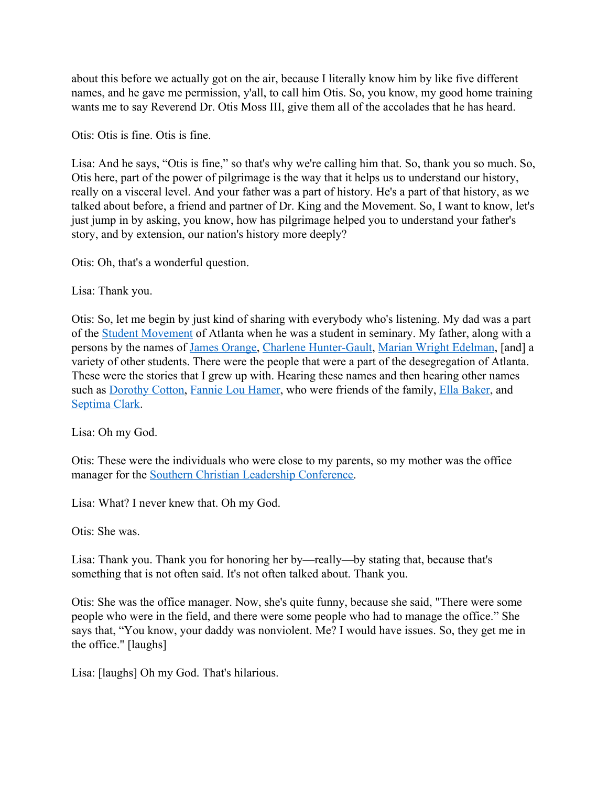about this before we actually got on the air, because I literally know him by like five different names, and he gave me permission, y'all, to call him Otis. So, you know, my good home training wants me to say Reverend Dr. Otis Moss III, give them all of the accolades that he has heard.

Otis: Otis is fine. Otis is fine.

Lisa: And he says, "Otis is fine," so that's why we're calling him that. So, thank you so much. So, Otis here, part of the power of pilgrimage is the way that it helps us to understand our history, really on a visceral level. And your father was a part of history. He's a part of that history, as we talked about before, a friend and partner of Dr. King and the Movement. So, I want to know, let's just jump in by asking, you know, how has pilgrimage helped you to understand your father's story, and by extension, our nation's history more deeply?

Otis: Oh, that's a wonderful question.

Lisa: Thank you.

Otis: So, let me begin by just kind of sharing with everybody who's listening. My dad was a part of the [Student Movement](https://www.atlantaga.gov/visitors/history/atlanta-student-movement) of Atlanta when he was a student in seminary. My father, along with a persons by the names of [James Orange,](https://en.wikipedia.org/wiki/James_Orange) [Charlene Hunter-Gault,](https://www.thehistorymakers.org/biography/charlayne-hunter-gault-41) [Marian Wright Edelman](https://www.childrensdefense.org/staff/marian-wright-edelman/), [and] a variety of other students. There were the people that were a part of the desegregation of Atlanta. These were the stories that I grew up with. Hearing these names and then hearing other names such as [Dorothy Cotton,](https://www.nytimes.com/2018/06/14/obituaries/dorothy-cotton-rights-champion-and-close-aide-to-king-dies-at-88.html) [Fannie Lou Hamer](https://www.womenshistory.org/education-resources/biographies/fannie-lou-hamer), who were friends of the family, [Ella Baker,](https://ellabakercenter.org/about/who-was-ella-baker) and [Septima Clark.](https://kinginstitute.stanford.edu/encyclopedia/clark-septima-poinsette)

Lisa: Oh my God.

Otis: These were the individuals who were close to my parents, so my mother was the office manager for the [Southern Christian Leadership Conference.](https://kinginstitute.stanford.edu/encyclopedia/southern-christian-leadership-conference-sclc)

Lisa: What? I never knew that. Oh my God.

Otis: She was.

Lisa: Thank you. Thank you for honoring her by—really—by stating that, because that's something that is not often said. It's not often talked about. Thank you.

Otis: She was the office manager. Now, she's quite funny, because she said, "There were some people who were in the field, and there were some people who had to manage the office." She says that, "You know, your daddy was nonviolent. Me? I would have issues. So, they get me in the office." [laughs]

Lisa: [laughs] Oh my God. That's hilarious.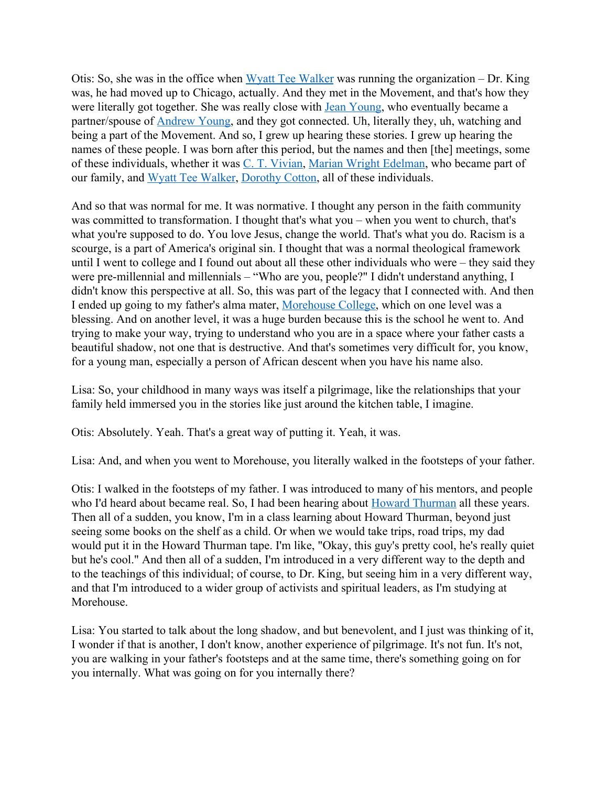Otis: So, she was in the office when [Wyatt Tee Walker](http://www.visionaryproject.org/walkerwyatt/) was running the organization – Dr. King was, he had moved up to Chicago, actually. And they met in the Movement, and that's how they were literally got together. She was really close with [Jean Young](https://en.wikipedia.org/wiki/Jean_Childs_Young), who eventually became a partner/spouse of [Andrew Young](https://www.nps.gov/features/malu/feat0002/wof/Andrew_Young.htm), and they got connected. Uh, literally they, uh, watching and being a part of the Movement. And so, I grew up hearing these stories. I grew up hearing the names of these people. I was born after this period, but the names and then [the] meetings, some of these individuals, whether it was [C. T. Vivian,](http://www.visionaryproject.org/vivianct/) [Marian Wright Edelman](https://www.childrensdefense.org/staff/marian-wright-edelman/), who became part of our family, and [Wyatt Tee Walker](https://www.nytimes.com/2018/01/23/obituaries/wyatt-tee-walker-dead.html), [Dorothy Cotton,](https://www.nytimes.com/2018/06/14/obituaries/dorothy-cotton-rights-champion-and-close-aide-to-king-dies-at-88.html) all of these individuals.

And so that was normal for me. It was normative. I thought any person in the faith community was committed to transformation. I thought that's what you – when you went to church, that's what you're supposed to do. You love Jesus, change the world. That's what you do. Racism is a scourge, is a part of America's original sin. I thought that was a normal theological framework until I went to college and I found out about all these other individuals who were – they said they were pre-millennial and millennials – "Who are you, people?" I didn't understand anything, I didn't know this perspective at all. So, this was part of the legacy that I connected with. And then I ended up going to my father's alma mater, [Morehouse College,](https://www.morehouse.edu/) which on one level was a blessing. And on another level, it was a huge burden because this is the school he went to. And trying to make your way, trying to understand who you are in a space where your father casts a beautiful shadow, not one that is destructive. And that's sometimes very difficult for, you know, for a young man, especially a person of African descent when you have his name also.

Lisa: So, your childhood in many ways was itself a pilgrimage, like the relationships that your family held immersed you in the stories like just around the kitchen table, I imagine.

Otis: Absolutely. Yeah. That's a great way of putting it. Yeah, it was.

Lisa: And, and when you went to Morehouse, you literally walked in the footsteps of your father.

Otis: I walked in the footsteps of my father. I was introduced to many of his mentors, and people who I'd heard about became real. So, I had been hearing about [Howard Thurman](https://www.pbs.org/thisfarbyfaith/people/howard_thurman.html) all these years. Then all of a sudden, you know, I'm in a class learning about Howard Thurman, beyond just seeing some books on the shelf as a child. Or when we would take trips, road trips, my dad would put it in the Howard Thurman tape. I'm like, "Okay, this guy's pretty cool, he's really quiet but he's cool." And then all of a sudden, I'm introduced in a very different way to the depth and to the teachings of this individual; of course, to Dr. King, but seeing him in a very different way, and that I'm introduced to a wider group of activists and spiritual leaders, as I'm studying at Morehouse.

Lisa: You started to talk about the long shadow, and but benevolent, and I just was thinking of it, I wonder if that is another, I don't know, another experience of pilgrimage. It's not fun. It's not, you are walking in your father's footsteps and at the same time, there's something going on for you internally. What was going on for you internally there?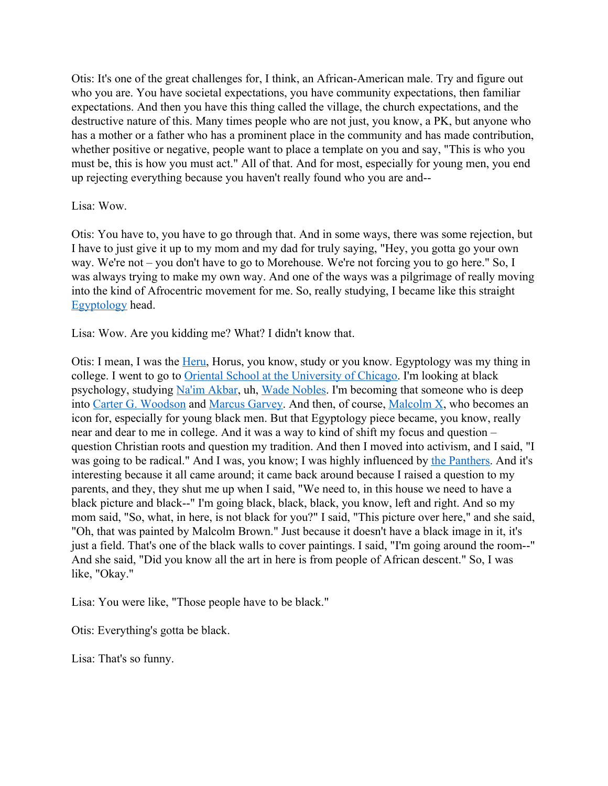Otis: It's one of the great challenges for, I think, an African-American male. Try and figure out who you are. You have societal expectations, you have community expectations, then familiar expectations. And then you have this thing called the village, the church expectations, and the destructive nature of this. Many times people who are not just, you know, a PK, but anyone who has a mother or a father who has a prominent place in the community and has made contribution, whether positive or negative, people want to place a template on you and say, "This is who you must be, this is how you must act." All of that. And for most, especially for young men, you end up rejecting everything because you haven't really found who you are and--

#### Lisa: Wow.

Otis: You have to, you have to go through that. And in some ways, there was some rejection, but I have to just give it up to my mom and my dad for truly saying, "Hey, you gotta go your own way. We're not – you don't have to go to Morehouse. We're not forcing you to go here." So, I was always trying to make my own way. And one of the ways was a pilgrimage of really moving into the kind of Afrocentric movement for me. So, really studying, I became like this straight [Egyptology](https://en.wikipedia.org/wiki/Egyptology) head.

Lisa: Wow. Are you kidding me? What? I didn't know that.

Otis: I mean, I was the <u>Heru</u>, Horus, you know, study or you know. Egyptology was my thing in college. I went to go to [Oriental School at the University of Chicago](https://oi.uchicago.edu/). I'm looking at black psychology, studying [Na'im Akbar](https://en.wikipedia.org/wiki/Na%27im_Akbar), uh, [Wade Nobles](https://www.drwadenobles.com/). I'm becoming that someone who is deep into [Carter G. Woodson](https://www.biography.com/scholar/carter-g-woodson) and [Marcus Garvey.](https://www.biography.com/activist/marcus-garvey) And then, of course, [Malcolm X](https://www.malcolmx.com/), who becomes an icon for, especially for young black men. But that Egyptology piece became, you know, really near and dear to me in college. And it was a way to kind of shift my focus and question – question Christian roots and question my tradition. And then I moved into activism, and I said, "I was going to be radical." And I was, you know; I was highly influenced by [the Panthers.](https://www.history.com/topics/civil-rights-movement/black-panthers) And it's interesting because it all came around; it came back around because I raised a question to my parents, and they, they shut me up when I said, "We need to, in this house we need to have a black picture and black--" I'm going black, black, black, you know, left and right. And so my mom said, "So, what, in here, is not black for you?" I said, "This picture over here," and she said, "Oh, that was painted by Malcolm Brown." Just because it doesn't have a black image in it, it's just a field. That's one of the black walls to cover paintings. I said, "I'm going around the room--" And she said, "Did you know all the art in here is from people of African descent." So, I was like, "Okay."

Lisa: You were like, "Those people have to be black."

Otis: Everything's gotta be black.

Lisa: That's so funny.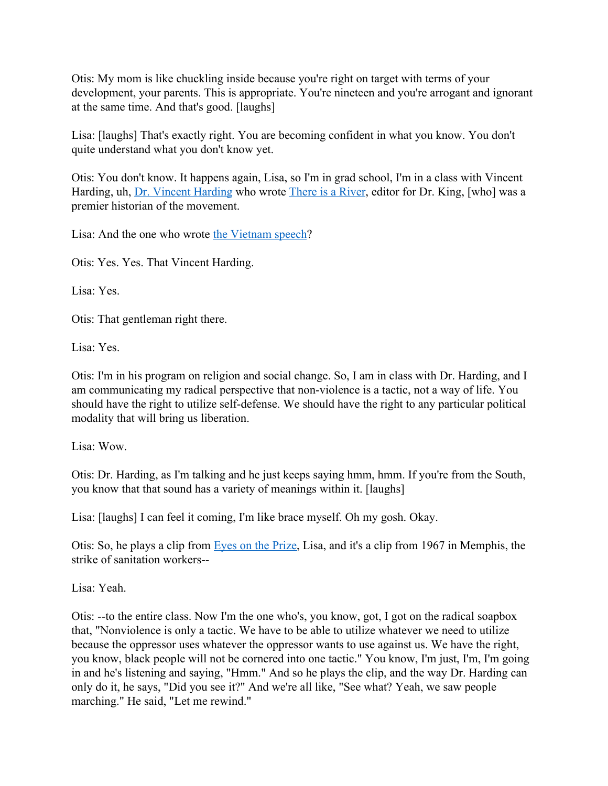Otis: My mom is like chuckling inside because you're right on target with terms of your development, your parents. This is appropriate. You're nineteen and you're arrogant and ignorant at the same time. And that's good. [laughs]

Lisa: [laughs] That's exactly right. You are becoming confident in what you know. You don't quite understand what you don't know yet.

Otis: You don't know. It happens again, Lisa, so I'm in grad school, I'm in a class with Vincent Harding, uh, [Dr. Vincent Harding](http://www.thekinglegacy.org/individuals/vincent-harding) who wrote [There is a River](https://amzn.to/2OSRh2U), editor for Dr. King, [who] was a premier historian of the movement.

Lisa: And the one who wrote [the Vietnam speech](https://www.npr.org/templates/story/story.php?storyId=125355148)?

Otis: Yes. Yes. That Vincent Harding.

Lisa: Yes.

Otis: That gentleman right there.

Lisa: Yes.

Otis: I'm in his program on religion and social change. So, I am in class with Dr. Harding, and I am communicating my radical perspective that non-violence is a tactic, not a way of life. You should have the right to utilize self-defense. We should have the right to any particular political modality that will bring us liberation.

Lisa: Wow.

Otis: Dr. Harding, as I'm talking and he just keeps saying hmm, hmm. If you're from the South, you know that that sound has a variety of meanings within it. [laughs]

Lisa: [laughs] I can feel it coming, I'm like brace myself. Oh my gosh. Okay.

Otis: So, he plays a clip from [Eyes on the Prize,](http://www.pbs.org/wgbh/americanexperience/films/eyesontheprize/) Lisa, and it's a clip from 1967 in Memphis, the strike of sanitation workers--

Lisa: Yeah.

Otis: --to the entire class. Now I'm the one who's, you know, got, I got on the radical soapbox that, "Nonviolence is only a tactic. We have to be able to utilize whatever we need to utilize because the oppressor uses whatever the oppressor wants to use against us. We have the right, you know, black people will not be cornered into one tactic." You know, I'm just, I'm, I'm going in and he's listening and saying, "Hmm." And so he plays the clip, and the way Dr. Harding can only do it, he says, "Did you see it?" And we're all like, "See what? Yeah, we saw people marching." He said, "Let me rewind."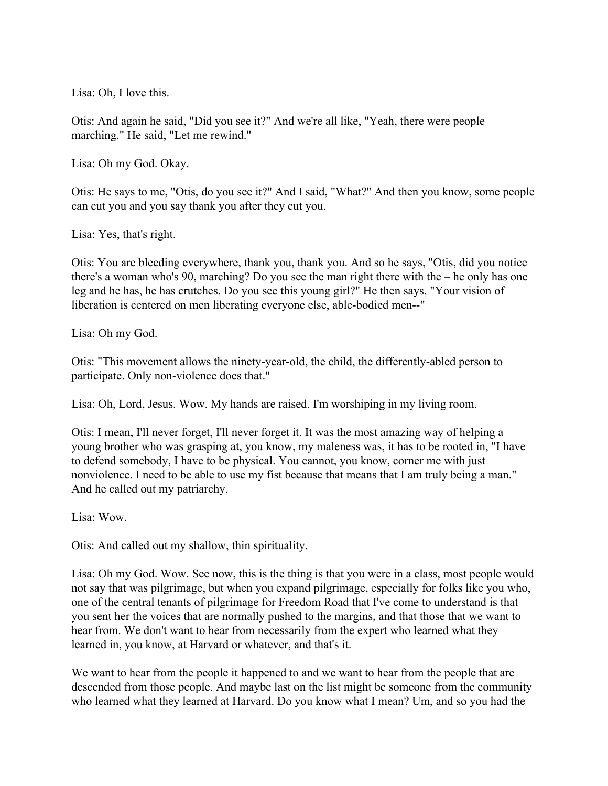Lisa: Oh, I love this.

Otis: And again he said, "Did you see it?" And we're all like, "Yeah, there were people marching." He said, "Let me rewind."

Lisa: Oh my God. Okay.

Otis: He says to me, "Otis, do you see it?" And I said, "What?" And then you know, some people can cut you and you say thank you after they cut you.

Lisa: Yes, that's right.

Otis: You are bleeding everywhere, thank you, thank you. And so he says, "Otis, did you notice there's a woman who's 90, marching? Do you see the man right there with the – he only has one leg and he has, he has crutches. Do you see this young girl?" He then says, "Your vision of liberation is centered on men liberating everyone else, able-bodied men--"

Lisa: Oh my God.

Otis: "This movement allows the ninety-year-old, the child, the differently-abled person to participate. Only non-violence does that."

Lisa: Oh, Lord, Jesus. Wow. My hands are raised. I'm worshiping in my living room.

Otis: I mean, I'll never forget, I'll never forget it. It was the most amazing way of helping a young brother who was grasping at, you know, my maleness was, it has to be rooted in, "I have to defend somebody, I have to be physical. You cannot, you know, corner me with just nonviolence. I need to be able to use my fist because that means that I am truly being a man." And he called out my patriarchy.

Lisa: Wow.

Otis: And called out my shallow, thin spirituality.

Lisa: Oh my God. Wow. See now, this is the thing is that you were in a class, most people would not say that was pilgrimage, but when you expand pilgrimage, especially for folks like you who, one of the central tenants of pilgrimage for Freedom Road that I've come to understand is that you sent her the voices that are normally pushed to the margins, and that those that we want to hear from. We don't want to hear from necessarily from the expert who learned what they learned in, you know, at Harvard or whatever, and that's it.

We want to hear from the people it happened to and we want to hear from the people that are descended from those people. And maybe last on the list might be someone from the community who learned what they learned at Harvard. Do you know what I mean? Um, and so you had the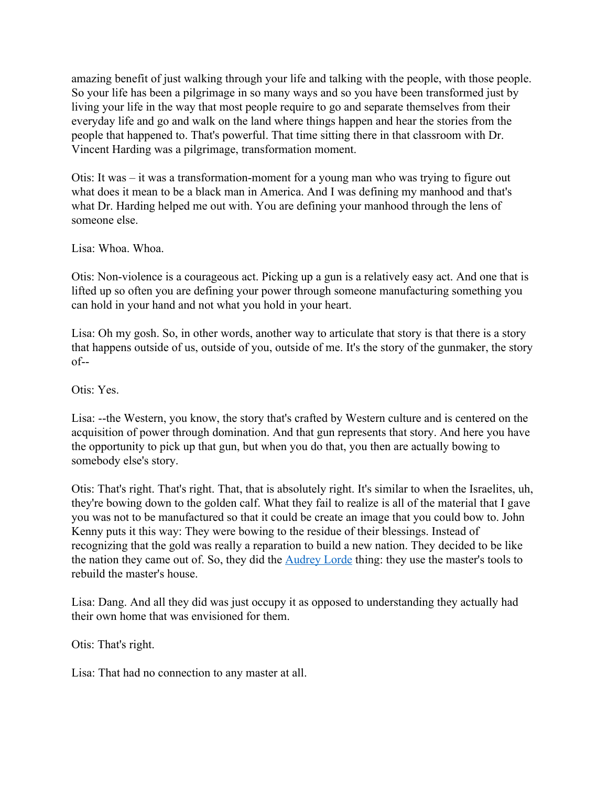amazing benefit of just walking through your life and talking with the people, with those people. So your life has been a pilgrimage in so many ways and so you have been transformed just by living your life in the way that most people require to go and separate themselves from their everyday life and go and walk on the land where things happen and hear the stories from the people that happened to. That's powerful. That time sitting there in that classroom with Dr. Vincent Harding was a pilgrimage, transformation moment.

Otis: It was – it was a transformation-moment for a young man who was trying to figure out what does it mean to be a black man in America. And I was defining my manhood and that's what Dr. Harding helped me out with. You are defining your manhood through the lens of someone else.

Lisa: Whoa. Whoa.

Otis: Non-violence is a courageous act. Picking up a gun is a relatively easy act. And one that is lifted up so often you are defining your power through someone manufacturing something you can hold in your hand and not what you hold in your heart.

Lisa: Oh my gosh. So, in other words, another way to articulate that story is that there is a story that happens outside of us, outside of you, outside of me. It's the story of the gunmaker, the story of--

Otis: Yes.

Lisa: --the Western, you know, the story that's crafted by Western culture and is centered on the acquisition of power through domination. And that gun represents that story. And here you have the opportunity to pick up that gun, but when you do that, you then are actually bowing to somebody else's story.

Otis: That's right. That's right. That, that is absolutely right. It's similar to when the Israelites, uh, they're bowing down to the golden calf. What they fail to realize is all of the material that I gave you was not to be manufactured so that it could be create an image that you could bow to. John Kenny puts it this way: They were bowing to the residue of their blessings. Instead of recognizing that the gold was really a reparation to build a new nation. They decided to be like the nation they came out of. So, they did the [Audrey Lorde](https://www.poetryfoundation.org/poets/audre-lorde) thing: they use the master's tools to rebuild the master's house.

Lisa: Dang. And all they did was just occupy it as opposed to understanding they actually had their own home that was envisioned for them.

Otis: That's right.

Lisa: That had no connection to any master at all.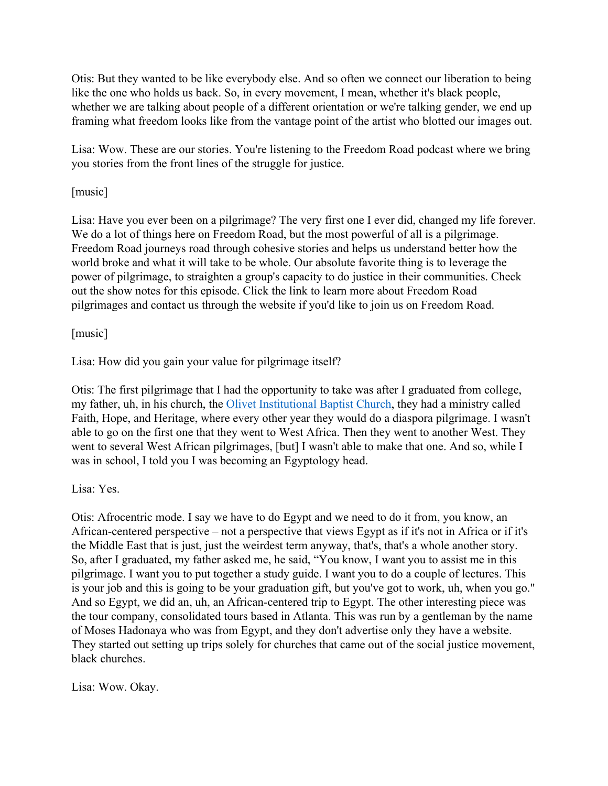Otis: But they wanted to be like everybody else. And so often we connect our liberation to being like the one who holds us back. So, in every movement, I mean, whether it's black people, whether we are talking about people of a different orientation or we're talking gender, we end up framing what freedom looks like from the vantage point of the artist who blotted our images out.

Lisa: Wow. These are our stories. You're listening to the Freedom Road podcast where we bring you stories from the front lines of the struggle for justice.

## [music]

Lisa: Have you ever been on a pilgrimage? The very first one I ever did, changed my life forever. We do a lot of things here on Freedom Road, but the most powerful of all is a pilgrimage. Freedom Road journeys road through cohesive stories and helps us understand better how the world broke and what it will take to be whole. Our absolute favorite thing is to leverage the power of pilgrimage, to straighten a group's capacity to do justice in their communities. Check out the show notes for this episode. Click the link to learn more about Freedom Road pilgrimages and contact us through the website if you'd like to join us on Freedom Road.

### [music]

Lisa: How did you gain your value for pilgrimage itself?

Otis: The first pilgrimage that I had the opportunity to take was after I graduated from college, my father, uh, in his church, the [Olivet Institutional Baptist Church](http://oibc.org/about-us/), they had a ministry called Faith, Hope, and Heritage, where every other year they would do a diaspora pilgrimage. I wasn't able to go on the first one that they went to West Africa. Then they went to another West. They went to several West African pilgrimages, [but] I wasn't able to make that one. And so, while I was in school, I told you I was becoming an Egyptology head.

#### Lisa: Yes.

Otis: Afrocentric mode. I say we have to do Egypt and we need to do it from, you know, an African-centered perspective – not a perspective that views Egypt as if it's not in Africa or if it's the Middle East that is just, just the weirdest term anyway, that's, that's a whole another story. So, after I graduated, my father asked me, he said, "You know, I want you to assist me in this pilgrimage. I want you to put together a study guide. I want you to do a couple of lectures. This is your job and this is going to be your graduation gift, but you've got to work, uh, when you go." And so Egypt, we did an, uh, an African-centered trip to Egypt. The other interesting piece was the tour company, consolidated tours based in Atlanta. This was run by a gentleman by the name of Moses Hadonaya who was from Egypt, and they don't advertise only they have a website. They started out setting up trips solely for churches that came out of the social justice movement, black churches.

Lisa: Wow. Okay.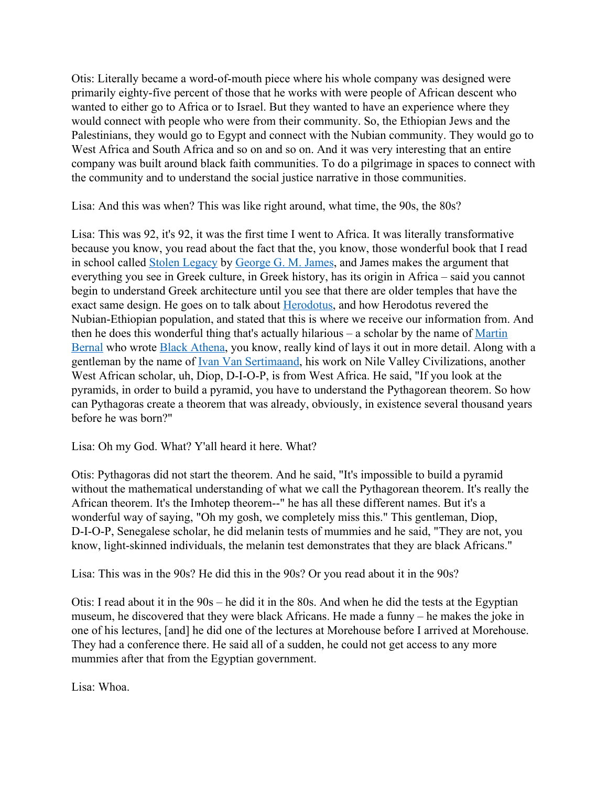Otis: Literally became a word-of-mouth piece where his whole company was designed were primarily eighty-five percent of those that he works with were people of African descent who wanted to either go to Africa or to Israel. But they wanted to have an experience where they would connect with people who were from their community. So, the Ethiopian Jews and the Palestinians, they would go to Egypt and connect with the Nubian community. They would go to West Africa and South Africa and so on and so on. And it was very interesting that an entire company was built around black faith communities. To do a pilgrimage in spaces to connect with the community and to understand the social justice narrative in those communities.

Lisa: And this was when? This was like right around, what time, the 90s, the 80s?

Lisa: This was 92, it's 92, it was the first time I went to Africa. It was literally transformative because you know, you read about the fact that the, you know, those wonderful book that I read in school called [Stolen Legacy](https://amzn.to/2uCiQ9X) by [George G. M. James](https://en.wikipedia.org/wiki/George_G._M._James), and James makes the argument that everything you see in Greek culture, in Greek history, has its origin in Africa – said you cannot begin to understand Greek architecture until you see that there are older temples that have the exact same design. He goes on to talk about [Herodotus](https://www.ancient.eu/herodotus/), and how Herodotus revered the Nubian-Ethiopian population, and stated that this is where we receive our information from. And then he does this wonderful thing that's actually hilarious – a scholar by the name of [Martin](https://www.nytimes.com/2013/06/23/arts/martin-bernal-black-athena-scholar-dies-at-76.html) [Bernal](https://www.nytimes.com/2013/06/23/arts/martin-bernal-black-athena-scholar-dies-at-76.html) who wrote [Black Athena](https://amzn.to/37vAI3B), you know, really kind of lays it out in more detail. Along with a gentleman by the name of [Ivan Van Sertimaand,](http://www.journalofafricancivilizations.com/VanSertima) his work on Nile Valley Civilizations, another West African scholar, uh, Diop, D-I-O-P, is from West Africa. He said, "If you look at the pyramids, in order to build a pyramid, you have to understand the Pythagorean theorem. So how can Pythagoras create a theorem that was already, obviously, in existence several thousand years before he was born?"

Lisa: Oh my God. What? Y'all heard it here. What?

Otis: Pythagoras did not start the theorem. And he said, "It's impossible to build a pyramid without the mathematical understanding of what we call the Pythagorean theorem. It's really the African theorem. It's the Imhotep theorem--" he has all these different names. But it's a wonderful way of saying, "Oh my gosh, we completely miss this." This gentleman, Diop, D-I-O-P, Senegalese scholar, he did melanin tests of mummies and he said, "They are not, you know, light-skinned individuals, the melanin test demonstrates that they are black Africans."

Lisa: This was in the 90s? He did this in the 90s? Or you read about it in the 90s?

Otis: I read about it in the 90s – he did it in the 80s. And when he did the tests at the Egyptian museum, he discovered that they were black Africans. He made a funny – he makes the joke in one of his lectures, [and] he did one of the lectures at Morehouse before I arrived at Morehouse. They had a conference there. He said all of a sudden, he could not get access to any more mummies after that from the Egyptian government.

Lisa: Whoa.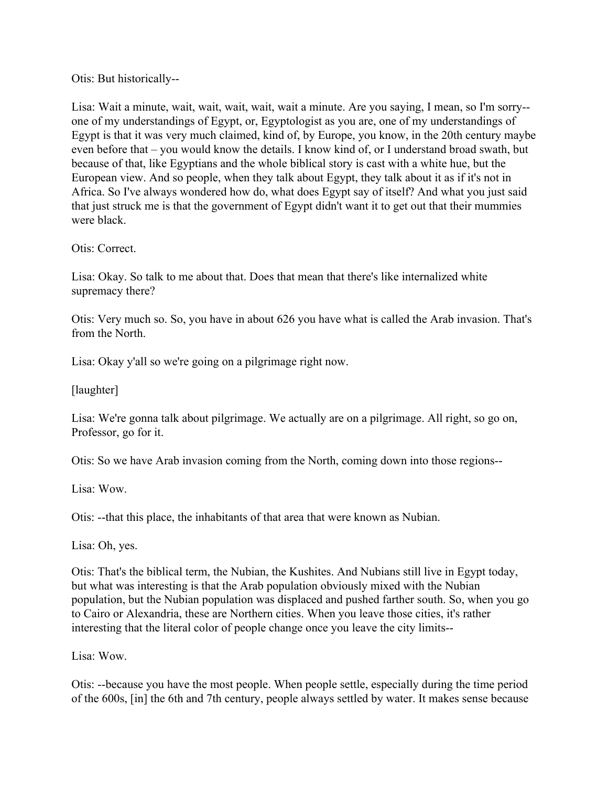Otis: But historically--

Lisa: Wait a minute, wait, wait, wait, wait, wait a minute. Are you saying, I mean, so I'm sorry- one of my understandings of Egypt, or, Egyptologist as you are, one of my understandings of Egypt is that it was very much claimed, kind of, by Europe, you know, in the 20th century maybe even before that – you would know the details. I know kind of, or I understand broad swath, but because of that, like Egyptians and the whole biblical story is cast with a white hue, but the European view. And so people, when they talk about Egypt, they talk about it as if it's not in Africa. So I've always wondered how do, what does Egypt say of itself? And what you just said that just struck me is that the government of Egypt didn't want it to get out that their mummies were black.

Otis: Correct.

Lisa: Okay. So talk to me about that. Does that mean that there's like internalized white supremacy there?

Otis: Very much so. So, you have in about 626 you have what is called the Arab invasion. That's from the North.

Lisa: Okay y'all so we're going on a pilgrimage right now.

[laughter]

Lisa: We're gonna talk about pilgrimage. We actually are on a pilgrimage. All right, so go on, Professor, go for it.

Otis: So we have Arab invasion coming from the North, coming down into those regions--

Lisa: Wow.

Otis: --that this place, the inhabitants of that area that were known as Nubian.

Lisa: Oh, yes.

Otis: That's the biblical term, the Nubian, the Kushites. And Nubians still live in Egypt today, but what was interesting is that the Arab population obviously mixed with the Nubian population, but the Nubian population was displaced and pushed farther south. So, when you go to Cairo or Alexandria, these are Northern cities. When you leave those cities, it's rather interesting that the literal color of people change once you leave the city limits--

Lisa: Wow.

Otis: --because you have the most people. When people settle, especially during the time period of the 600s, [in] the 6th and 7th century, people always settled by water. It makes sense because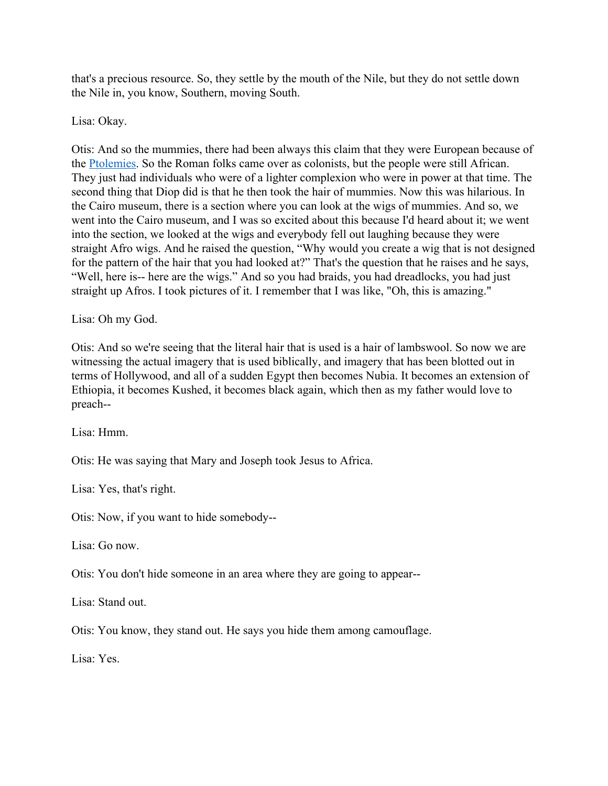that's a precious resource. So, they settle by the mouth of the Nile, but they do not settle down the Nile in, you know, Southern, moving South.

Lisa: Okay.

Otis: And so the mummies, there had been always this claim that they were European because of the [Ptolemies.](https://www.livius.org/articles/dynasty/ptolemies/) So the Roman folks came over as colonists, but the people were still African. They just had individuals who were of a lighter complexion who were in power at that time. The second thing that Diop did is that he then took the hair of mummies. Now this was hilarious. In the Cairo museum, there is a section where you can look at the wigs of mummies. And so, we went into the Cairo museum, and I was so excited about this because I'd heard about it; we went into the section, we looked at the wigs and everybody fell out laughing because they were straight Afro wigs. And he raised the question, "Why would you create a wig that is not designed for the pattern of the hair that you had looked at?" That's the question that he raises and he says, "Well, here is-- here are the wigs." And so you had braids, you had dreadlocks, you had just straight up Afros. I took pictures of it. I remember that I was like, "Oh, this is amazing."

Lisa: Oh my God.

Otis: And so we're seeing that the literal hair that is used is a hair of lambswool. So now we are witnessing the actual imagery that is used biblically, and imagery that has been blotted out in terms of Hollywood, and all of a sudden Egypt then becomes Nubia. It becomes an extension of Ethiopia, it becomes Kushed, it becomes black again, which then as my father would love to preach--

Lisa: Hmm.

Otis: He was saying that Mary and Joseph took Jesus to Africa.

Lisa: Yes, that's right.

Otis: Now, if you want to hide somebody--

Lisa: Go now.

Otis: You don't hide someone in an area where they are going to appear--

Lisa: Stand out.

Otis: You know, they stand out. He says you hide them among camouflage.

Lisa: Yes.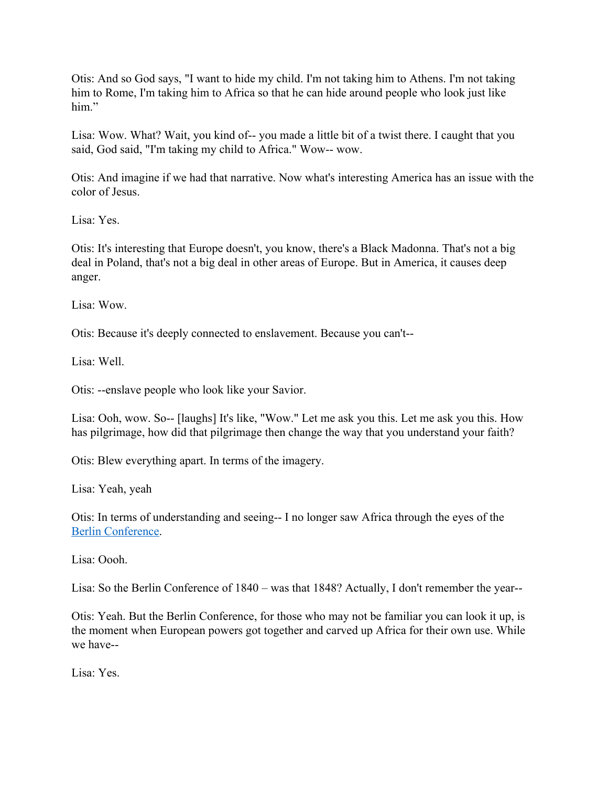Otis: And so God says, "I want to hide my child. I'm not taking him to Athens. I'm not taking him to Rome, I'm taking him to Africa so that he can hide around people who look just like him"

Lisa: Wow. What? Wait, you kind of-- you made a little bit of a twist there. I caught that you said, God said, "I'm taking my child to Africa." Wow-- wow.

Otis: And imagine if we had that narrative. Now what's interesting America has an issue with the color of Jesus.

Lisa: Yes.

Otis: It's interesting that Europe doesn't, you know, there's a Black Madonna. That's not a big deal in Poland, that's not a big deal in other areas of Europe. But in America, it causes deep anger.

Lisa: Wow.

Otis: Because it's deeply connected to enslavement. Because you can't--

Lisa: Well.

Otis: --enslave people who look like your Savior.

Lisa: Ooh, wow. So-- [laughs] It's like, "Wow." Let me ask you this. Let me ask you this. How has pilgrimage, how did that pilgrimage then change the way that you understand your faith?

Otis: Blew everything apart. In terms of the imagery.

Lisa: Yeah, yeah

Otis: In terms of understanding and seeing-- I no longer saw Africa through the eyes of the [Berlin Conference](http://www.bbc.co.uk/history/british/abolition/scramble_for_africa_article_01.shtml).

Lisa: Oooh.

Lisa: So the Berlin Conference of 1840 – was that 1848? Actually, I don't remember the year--

Otis: Yeah. But the Berlin Conference, for those who may not be familiar you can look it up, is the moment when European powers got together and carved up Africa for their own use. While we have--

Lisa: Yes.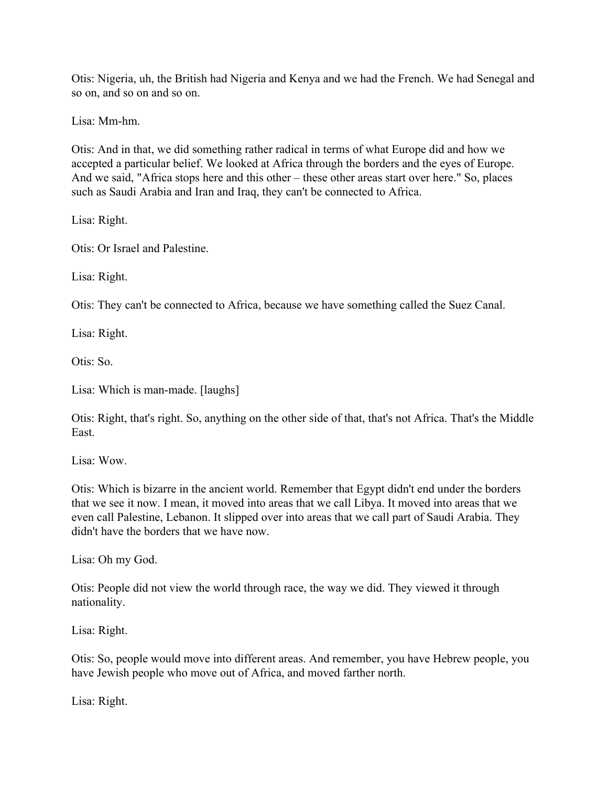Otis: Nigeria, uh, the British had Nigeria and Kenya and we had the French. We had Senegal and so on, and so on and so on.

Lisa: Mm-hm.

Otis: And in that, we did something rather radical in terms of what Europe did and how we accepted a particular belief. We looked at Africa through the borders and the eyes of Europe. And we said, "Africa stops here and this other – these other areas start over here." So, places such as Saudi Arabia and Iran and Iraq, they can't be connected to Africa.

Lisa: Right.

Otis: Or Israel and Palestine.

Lisa: Right.

Otis: They can't be connected to Africa, because we have something called the Suez Canal.

Lisa: Right.

Otis: So.

Lisa: Which is man-made. [laughs]

Otis: Right, that's right. So, anything on the other side of that, that's not Africa. That's the Middle East.

Lisa: Wow.

Otis: Which is bizarre in the ancient world. Remember that Egypt didn't end under the borders that we see it now. I mean, it moved into areas that we call Libya. It moved into areas that we even call Palestine, Lebanon. It slipped over into areas that we call part of Saudi Arabia. They didn't have the borders that we have now.

Lisa: Oh my God.

Otis: People did not view the world through race, the way we did. They viewed it through nationality.

Lisa: Right.

Otis: So, people would move into different areas. And remember, you have Hebrew people, you have Jewish people who move out of Africa, and moved farther north.

Lisa: Right.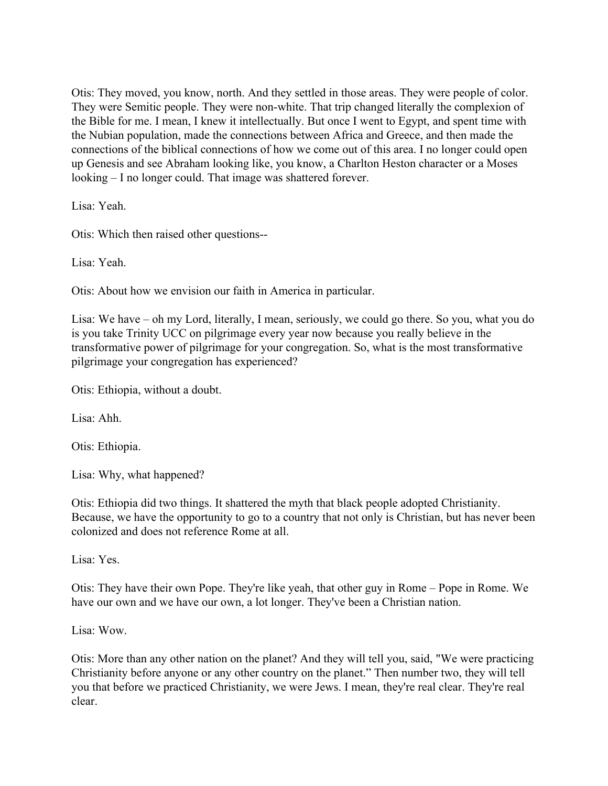Otis: They moved, you know, north. And they settled in those areas. They were people of color. They were Semitic people. They were non-white. That trip changed literally the complexion of the Bible for me. I mean, I knew it intellectually. But once I went to Egypt, and spent time with the Nubian population, made the connections between Africa and Greece, and then made the connections of the biblical connections of how we come out of this area. I no longer could open up Genesis and see Abraham looking like, you know, a Charlton Heston character or a Moses looking – I no longer could. That image was shattered forever.

Lisa: Yeah.

Otis: Which then raised other questions--

Lisa: Yeah.

Otis: About how we envision our faith in America in particular.

Lisa: We have – oh my Lord, literally, I mean, seriously, we could go there. So you, what you do is you take Trinity UCC on pilgrimage every year now because you really believe in the transformative power of pilgrimage for your congregation. So, what is the most transformative pilgrimage your congregation has experienced?

Otis: Ethiopia, without a doubt.

Lisa: Ahh.

Otis: Ethiopia.

Lisa: Why, what happened?

Otis: Ethiopia did two things. It shattered the myth that black people adopted Christianity. Because, we have the opportunity to go to a country that not only is Christian, but has never been colonized and does not reference Rome at all.

Lisa: Yes.

Otis: They have their own Pope. They're like yeah, that other guy in Rome – Pope in Rome. We have our own and we have our own, a lot longer. They've been a Christian nation.

Lisa: Wow.

Otis: More than any other nation on the planet? And they will tell you, said, "We were practicing Christianity before anyone or any other country on the planet." Then number two, they will tell you that before we practiced Christianity, we were Jews. I mean, they're real clear. They're real clear.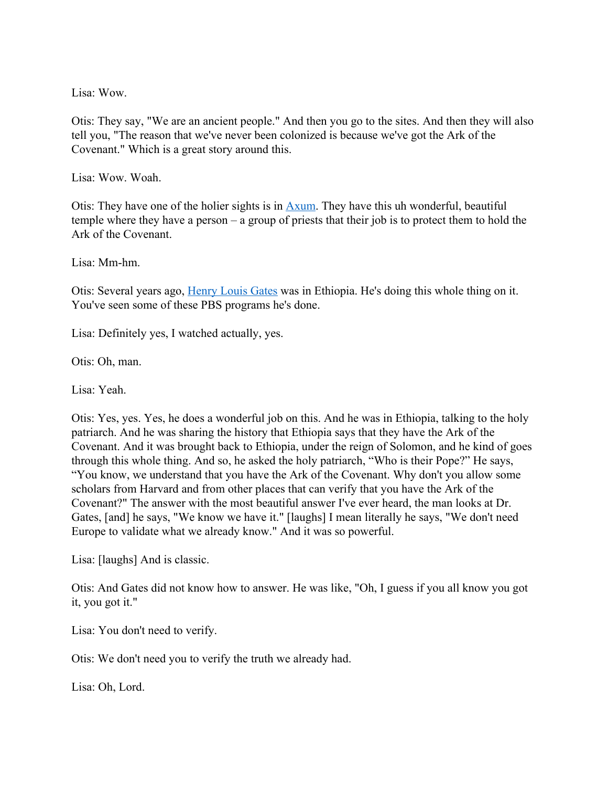Lisa: Wow.

Otis: They say, "We are an ancient people." And then you go to the sites. And then they will also tell you, "The reason that we've never been colonized is because we've got the Ark of the Covenant." Which is a great story around this.

Lisa: Wow. Woah.

Otis: They have one of the holier sights is in [Axum.](https://www.ancient.eu/Kingdom_of_Axum/) They have this uh wonderful, beautiful temple where they have a person – a group of priests that their job is to protect them to hold the Ark of the Covenant.

Lisa: Mm-hm.

Otis: Several years ago, [Henry Louis Gates](https://www.pbs.org/weta/reconstruction/about-the-film/henry-louis-gates-jr/) was in Ethiopia. He's doing this whole thing on it. You've seen some of these PBS programs he's done.

Lisa: Definitely yes, I watched actually, yes.

Otis: Oh, man.

Lisa: Yeah.

Otis: Yes, yes. Yes, he does a wonderful job on this. And he was in Ethiopia, talking to the holy patriarch. And he was sharing the history that Ethiopia says that they have the Ark of the Covenant. And it was brought back to Ethiopia, under the reign of Solomon, and he kind of goes through this whole thing. And so, he asked the holy patriarch, "Who is their Pope?" He says, "You know, we understand that you have the Ark of the Covenant. Why don't you allow some scholars from Harvard and from other places that can verify that you have the Ark of the Covenant?" The answer with the most beautiful answer I've ever heard, the man looks at Dr. Gates, [and] he says, "We know we have it." [laughs] I mean literally he says, "We don't need Europe to validate what we already know." And it was so powerful.

Lisa: [laughs] And is classic.

Otis: And Gates did not know how to answer. He was like, "Oh, I guess if you all know you got it, you got it."

Lisa: You don't need to verify.

Otis: We don't need you to verify the truth we already had.

Lisa: Oh, Lord.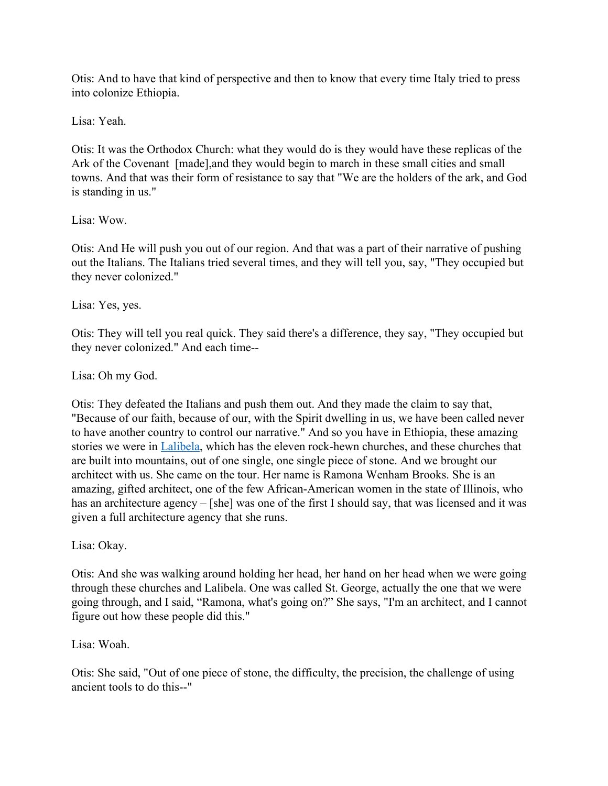Otis: And to have that kind of perspective and then to know that every time Italy tried to press into colonize Ethiopia.

Lisa: Yeah.

Otis: It was the Orthodox Church: what they would do is they would have these replicas of the Ark of the Covenant [made],and they would begin to march in these small cities and small towns. And that was their form of resistance to say that "We are the holders of the ark, and God is standing in us."

### Lisa: Wow.

Otis: And He will push you out of our region. And that was a part of their narrative of pushing out the Italians. The Italians tried several times, and they will tell you, say, "They occupied but they never colonized."

Lisa: Yes, yes.

Otis: They will tell you real quick. They said there's a difference, they say, "They occupied but they never colonized." And each time--

Lisa: Oh my God.

Otis: They defeated the Italians and push them out. And they made the claim to say that, "Because of our faith, because of our, with the Spirit dwelling in us, we have been called never to have another country to control our narrative." And so you have in Ethiopia, these amazing stories we were in [Lalibela](https://www.lonelyplanet.com/ethiopia/northern-ethiopia/lalibela), which has the eleven rock-hewn churches, and these churches that are built into mountains, out of one single, one single piece of stone. And we brought our architect with us. She came on the tour. Her name is Ramona Wenham Brooks. She is an amazing, gifted architect, one of the few African-American women in the state of Illinois, who has an architecture agency – [she] was one of the first I should say, that was licensed and it was given a full architecture agency that she runs.

Lisa: Okay.

Otis: And she was walking around holding her head, her hand on her head when we were going through these churches and Lalibela. One was called St. George, actually the one that we were going through, and I said, "Ramona, what's going on?" She says, "I'm an architect, and I cannot figure out how these people did this."

Lisa: Woah.

Otis: She said, "Out of one piece of stone, the difficulty, the precision, the challenge of using ancient tools to do this--"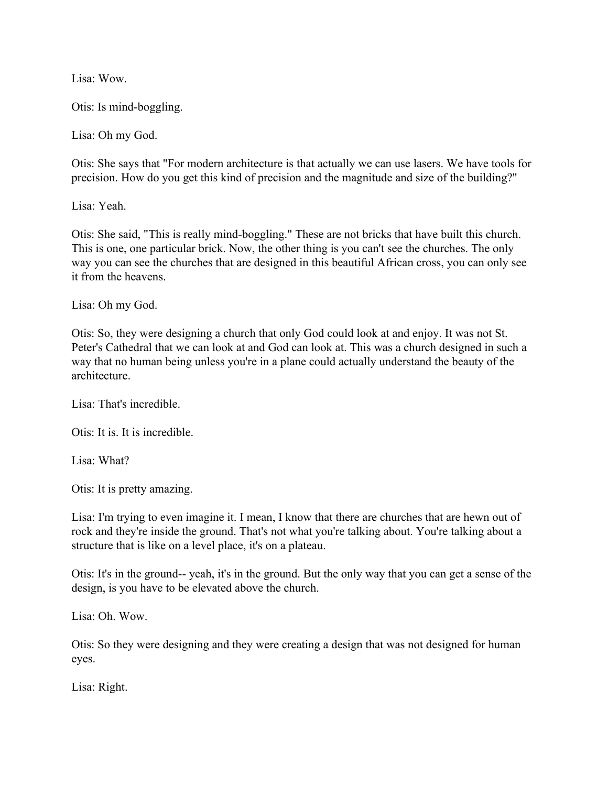Lisa: Wow.

Otis: Is mind-boggling.

Lisa: Oh my God.

Otis: She says that "For modern architecture is that actually we can use lasers. We have tools for precision. How do you get this kind of precision and the magnitude and size of the building?"

Lisa: Yeah.

Otis: She said, "This is really mind-boggling." These are not bricks that have built this church. This is one, one particular brick. Now, the other thing is you can't see the churches. The only way you can see the churches that are designed in this beautiful African cross, you can only see it from the heavens.

Lisa: Oh my God.

Otis: So, they were designing a church that only God could look at and enjoy. It was not St. Peter's Cathedral that we can look at and God can look at. This was a church designed in such a way that no human being unless you're in a plane could actually understand the beauty of the architecture.

Lisa: That's incredible.

Otis: It is. It is incredible.

Lisa: What?

Otis: It is pretty amazing.

Lisa: I'm trying to even imagine it. I mean, I know that there are churches that are hewn out of rock and they're inside the ground. That's not what you're talking about. You're talking about a structure that is like on a level place, it's on a plateau.

Otis: It's in the ground-- yeah, it's in the ground. But the only way that you can get a sense of the design, is you have to be elevated above the church.

Lisa: Oh. Wow.

Otis: So they were designing and they were creating a design that was not designed for human eyes.

Lisa: Right.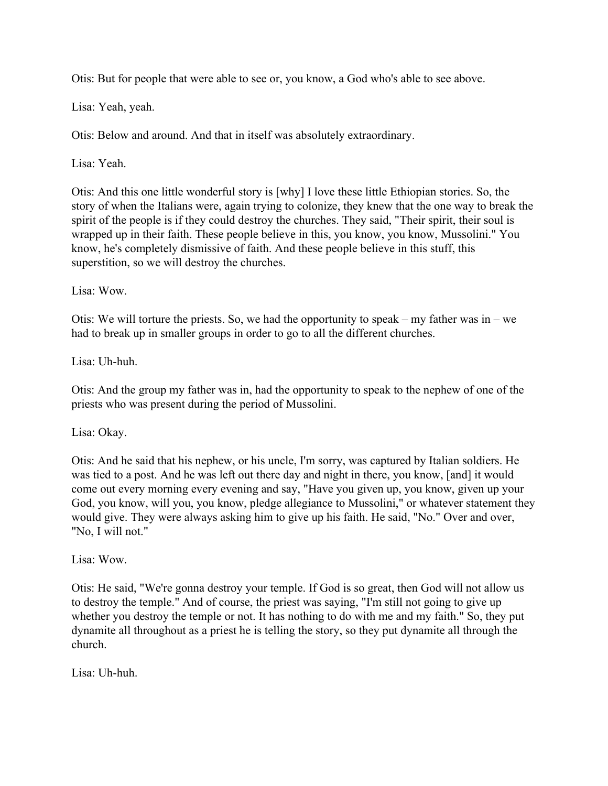Otis: But for people that were able to see or, you know, a God who's able to see above.

Lisa: Yeah, yeah.

Otis: Below and around. And that in itself was absolutely extraordinary.

Lisa: Yeah.

Otis: And this one little wonderful story is [why] I love these little Ethiopian stories. So, the story of when the Italians were, again trying to colonize, they knew that the one way to break the spirit of the people is if they could destroy the churches. They said, "Their spirit, their soul is wrapped up in their faith. These people believe in this, you know, you know, Mussolini." You know, he's completely dismissive of faith. And these people believe in this stuff, this superstition, so we will destroy the churches.

Lisa: Wow.

Otis: We will torture the priests. So, we had the opportunity to speak – my father was in – we had to break up in smaller groups in order to go to all the different churches.

Lisa: Uh-huh.

Otis: And the group my father was in, had the opportunity to speak to the nephew of one of the priests who was present during the period of Mussolini.

Lisa: Okay.

Otis: And he said that his nephew, or his uncle, I'm sorry, was captured by Italian soldiers. He was tied to a post. And he was left out there day and night in there, you know, [and] it would come out every morning every evening and say, "Have you given up, you know, given up your God, you know, will you, you know, pledge allegiance to Mussolini," or whatever statement they would give. They were always asking him to give up his faith. He said, "No." Over and over, "No, I will not."

Lisa: Wow.

Otis: He said, "We're gonna destroy your temple. If God is so great, then God will not allow us to destroy the temple." And of course, the priest was saying, "I'm still not going to give up whether you destroy the temple or not. It has nothing to do with me and my faith." So, they put dynamite all throughout as a priest he is telling the story, so they put dynamite all through the church.

Lisa: Uh-huh.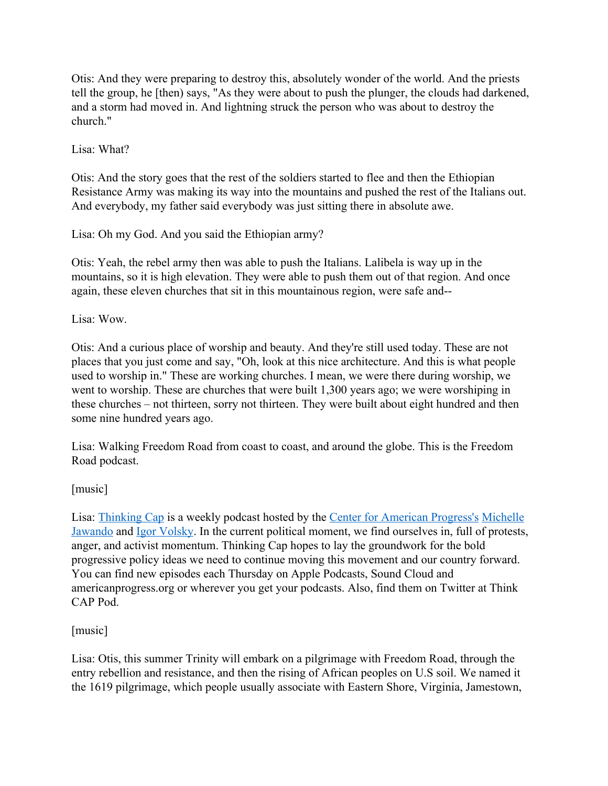Otis: And they were preparing to destroy this, absolutely wonder of the world. And the priests tell the group, he [then) says, "As they were about to push the plunger, the clouds had darkened, and a storm had moved in. And lightning struck the person who was about to destroy the church."

Lisa: What?

Otis: And the story goes that the rest of the soldiers started to flee and then the Ethiopian Resistance Army was making its way into the mountains and pushed the rest of the Italians out. And everybody, my father said everybody was just sitting there in absolute awe.

Lisa: Oh my God. And you said the Ethiopian army?

Otis: Yeah, the rebel army then was able to push the Italians. Lalibela is way up in the mountains, so it is high elevation. They were able to push them out of that region. And once again, these eleven churches that sit in this mountainous region, were safe and--

Lisa: Wow.

Otis: And a curious place of worship and beauty. And they're still used today. These are not places that you just come and say, "Oh, look at this nice architecture. And this is what people used to worship in." These are working churches. I mean, we were there during worship, we went to worship. These are churches that were built 1,300 years ago; we were worshiping in these churches – not thirteen, sorry not thirteen. They were built about eight hundred and then some nine hundred years ago.

Lisa: Walking Freedom Road from coast to coast, and around the globe. This is the Freedom Road podcast.

# [music]

Lisa: [Thinking Cap](https://podcasts.apple.com/us/podcast/thinking-cap/id1235157174) is a weekly podcast hosted by the [Center for American Progress's](https://www.google.com/search?client=safari&rls=en&sxsrf=ACYBGNS9UJ4fcnXR5AQ9-nKwFeqFLx3V9w:1581823706085&q=Center+for+American+Progress&spell=1&sa=X&ved=2ahUKEwiHvuTAkNXnAhUgJzQIHWFZDFkQBSgAegQIDhAn&biw=1317&bih=795) [Michelle](https://twitter.com/MicheleJawando?ref_src=twsrc%5Egoogle%7Ctwcamp%5Eserp%7Ctwgr%5Eauthor) [Jawando](https://twitter.com/MicheleJawando?ref_src=twsrc%5Egoogle%7Ctwcamp%5Eserp%7Ctwgr%5Eauthor) and [Igor Volsky.](https://twitter.com/igorvolsky?ref_src=twsrc%5Egoogle%7Ctwcamp%5Eserp%7Ctwgr%5Eauthor) In the current political moment, we find ourselves in, full of protests, anger, and activist momentum. Thinking Cap hopes to lay the groundwork for the bold progressive policy ideas we need to continue moving this movement and our country forward. You can find new episodes each Thursday on Apple Podcasts, Sound Cloud and americanprogress.org or wherever you get your podcasts. Also, find them on Twitter at Think CAP Pod.

# [music]

Lisa: Otis, this summer Trinity will embark on a pilgrimage with Freedom Road, through the entry rebellion and resistance, and then the rising of African peoples on U.S soil. We named it the 1619 pilgrimage, which people usually associate with Eastern Shore, Virginia, Jamestown,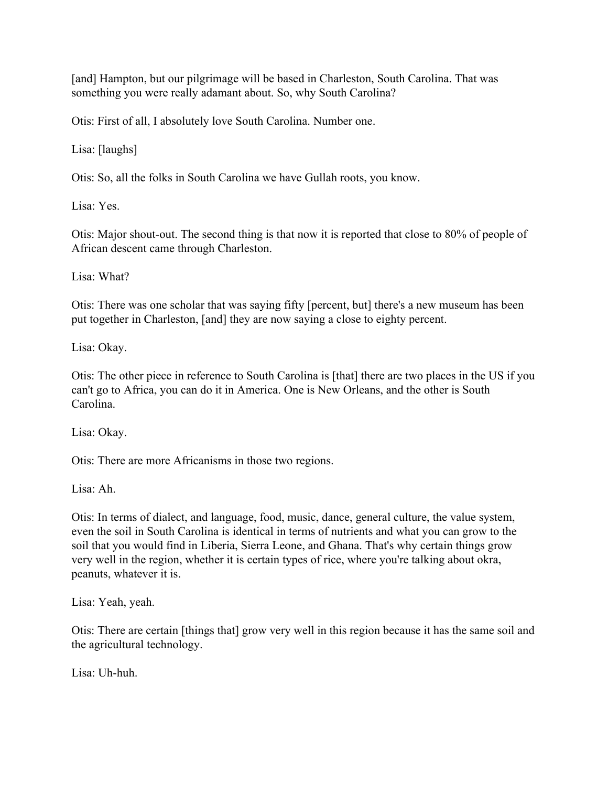[and] Hampton, but our pilgrimage will be based in Charleston, South Carolina. That was something you were really adamant about. So, why South Carolina?

Otis: First of all, I absolutely love South Carolina. Number one.

Lisa: [laughs]

Otis: So, all the folks in South Carolina we have Gullah roots, you know.

Lisa: Yes.

Otis: Major shout-out. The second thing is that now it is reported that close to 80% of people of African descent came through Charleston.

Lisa: What?

Otis: There was one scholar that was saying fifty [percent, but] there's a new museum has been put together in Charleston, [and] they are now saying a close to eighty percent.

Lisa: Okay.

Otis: The other piece in reference to South Carolina is [that] there are two places in the US if you can't go to Africa, you can do it in America. One is New Orleans, and the other is South Carolina.

Lisa: Okay.

Otis: There are more Africanisms in those two regions.

Lisa: Ah.

Otis: In terms of dialect, and language, food, music, dance, general culture, the value system, even the soil in South Carolina is identical in terms of nutrients and what you can grow to the soil that you would find in Liberia, Sierra Leone, and Ghana. That's why certain things grow very well in the region, whether it is certain types of rice, where you're talking about okra, peanuts, whatever it is.

Lisa: Yeah, yeah.

Otis: There are certain [things that] grow very well in this region because it has the same soil and the agricultural technology.

Lisa: Uh-huh.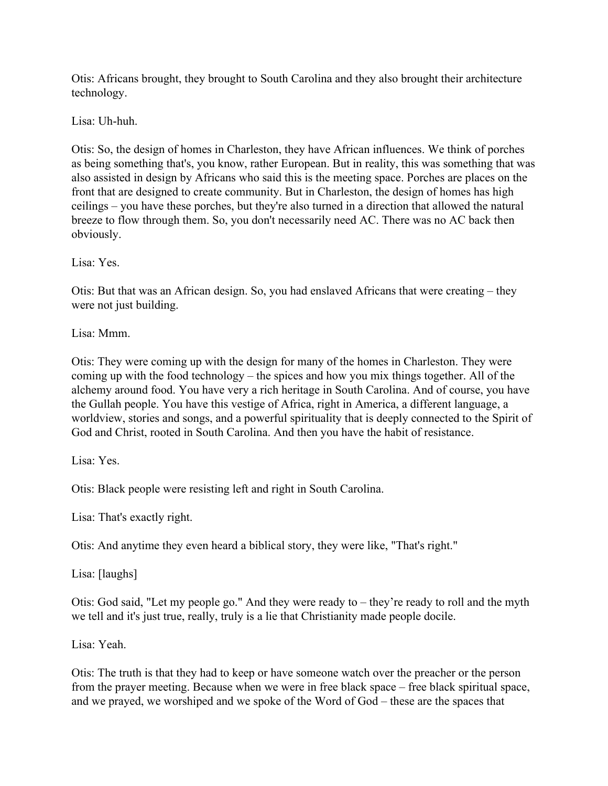Otis: Africans brought, they brought to South Carolina and they also brought their architecture technology.

Lisa: Uh-huh.

Otis: So, the design of homes in Charleston, they have African influences. We think of porches as being something that's, you know, rather European. But in reality, this was something that was also assisted in design by Africans who said this is the meeting space. Porches are places on the front that are designed to create community. But in Charleston, the design of homes has high ceilings – you have these porches, but they're also turned in a direction that allowed the natural breeze to flow through them. So, you don't necessarily need AC. There was no AC back then obviously.

Lisa: Yes.

Otis: But that was an African design. So, you had enslaved Africans that were creating – they were not just building.

Lisa: Mmm.

Otis: They were coming up with the design for many of the homes in Charleston. They were coming up with the food technology – the spices and how you mix things together. All of the alchemy around food. You have very a rich heritage in South Carolina. And of course, you have the Gullah people. You have this vestige of Africa, right in America, a different language, a worldview, stories and songs, and a powerful spirituality that is deeply connected to the Spirit of God and Christ, rooted in South Carolina. And then you have the habit of resistance.

Lisa: Yes.

Otis: Black people were resisting left and right in South Carolina.

Lisa: That's exactly right.

Otis: And anytime they even heard a biblical story, they were like, "That's right."

Lisa: [laughs]

Otis: God said, "Let my people go." And they were ready to – they're ready to roll and the myth we tell and it's just true, really, truly is a lie that Christianity made people docile.

Lisa: Yeah.

Otis: The truth is that they had to keep or have someone watch over the preacher or the person from the prayer meeting. Because when we were in free black space – free black spiritual space, and we prayed, we worshiped and we spoke of the Word of God – these are the spaces that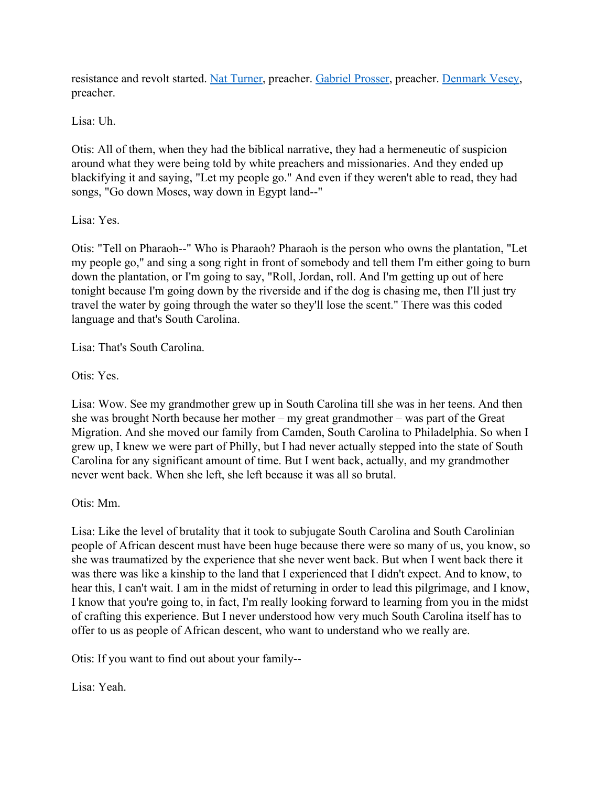resistance and revolt started. [Nat Turner,](https://www.biography.com/activist/nat-turner) preacher. [Gabriel Prosser](https://www.blackpast.org/african-american-history/prosser-gabriel-1775-1800/), preacher. [Denmark Vesey,](https://en.wikipedia.org/wiki/Denmark_Vesey) preacher.

Lisa: Uh.

Otis: All of them, when they had the biblical narrative, they had a hermeneutic of suspicion around what they were being told by white preachers and missionaries. And they ended up blackifying it and saying, "Let my people go." And even if they weren't able to read, they had songs, "Go down Moses, way down in Egypt land--"

### Lisa: Yes.

Otis: "Tell on Pharaoh--" Who is Pharaoh? Pharaoh is the person who owns the plantation, "Let my people go," and sing a song right in front of somebody and tell them I'm either going to burn down the plantation, or I'm going to say, "Roll, Jordan, roll. And I'm getting up out of here tonight because I'm going down by the riverside and if the dog is chasing me, then I'll just try travel the water by going through the water so they'll lose the scent." There was this coded language and that's South Carolina.

Lisa: That's South Carolina.

Otis: Yes.

Lisa: Wow. See my grandmother grew up in South Carolina till she was in her teens. And then she was brought North because her mother – my great grandmother – was part of the Great Migration. And she moved our family from Camden, South Carolina to Philadelphia. So when I grew up, I knew we were part of Philly, but I had never actually stepped into the state of South Carolina for any significant amount of time. But I went back, actually, and my grandmother never went back. When she left, she left because it was all so brutal.

Otis: Mm.

Lisa: Like the level of brutality that it took to subjugate South Carolina and South Carolinian people of African descent must have been huge because there were so many of us, you know, so she was traumatized by the experience that she never went back. But when I went back there it was there was like a kinship to the land that I experienced that I didn't expect. And to know, to hear this, I can't wait. I am in the midst of returning in order to lead this pilgrimage, and I know, I know that you're going to, in fact, I'm really looking forward to learning from you in the midst of crafting this experience. But I never understood how very much South Carolina itself has to offer to us as people of African descent, who want to understand who we really are.

Otis: If you want to find out about your family--

Lisa: Yeah.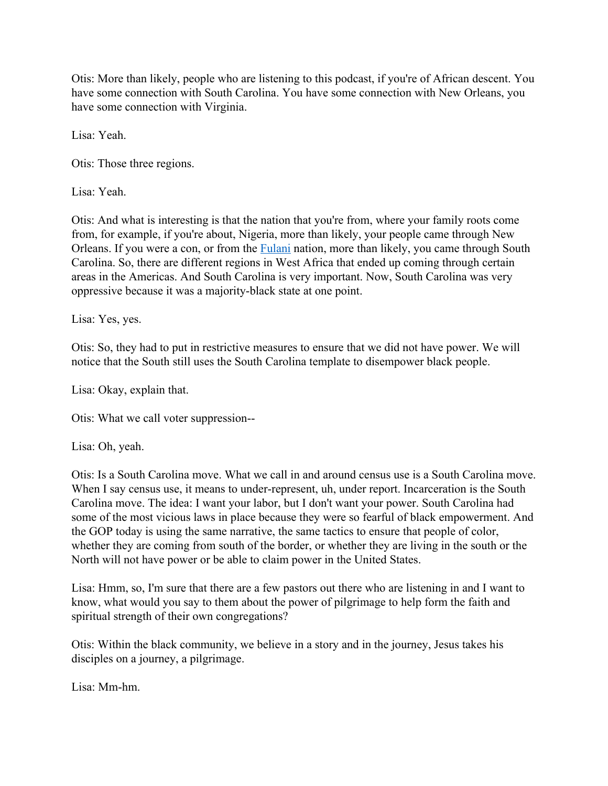Otis: More than likely, people who are listening to this podcast, if you're of African descent. You have some connection with South Carolina. You have some connection with New Orleans, you have some connection with Virginia.

Lisa: Yeah.

Otis: Those three regions.

Lisa: Yeah.

Otis: And what is interesting is that the nation that you're from, where your family roots come from, for example, if you're about, Nigeria, more than likely, your people came through New Orleans. If you were a con, or from the [Fulani](https://www.britannica.com/place/Fulani-Empire) nation, more than likely, you came through South Carolina. So, there are different regions in West Africa that ended up coming through certain areas in the Americas. And South Carolina is very important. Now, South Carolina was very oppressive because it was a majority-black state at one point.

Lisa: Yes, yes.

Otis: So, they had to put in restrictive measures to ensure that we did not have power. We will notice that the South still uses the South Carolina template to disempower black people.

Lisa: Okay, explain that.

Otis: What we call voter suppression--

Lisa: Oh, yeah.

Otis: Is a South Carolina move. What we call in and around census use is a South Carolina move. When I say census use, it means to under-represent, uh, under report. Incarceration is the South Carolina move. The idea: I want your labor, but I don't want your power. South Carolina had some of the most vicious laws in place because they were so fearful of black empowerment. And the GOP today is using the same narrative, the same tactics to ensure that people of color, whether they are coming from south of the border, or whether they are living in the south or the North will not have power or be able to claim power in the United States.

Lisa: Hmm, so, I'm sure that there are a few pastors out there who are listening in and I want to know, what would you say to them about the power of pilgrimage to help form the faith and spiritual strength of their own congregations?

Otis: Within the black community, we believe in a story and in the journey, Jesus takes his disciples on a journey, a pilgrimage.

Lisa: Mm-hm.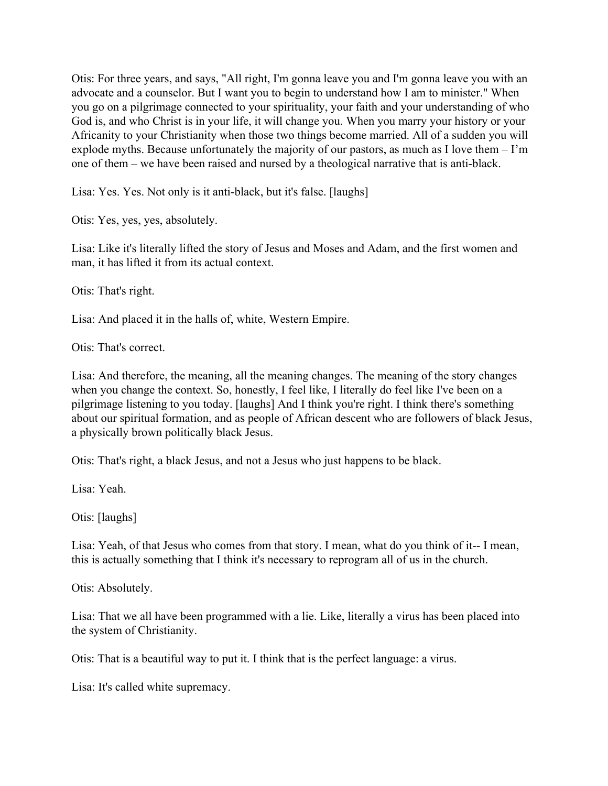Otis: For three years, and says, "All right, I'm gonna leave you and I'm gonna leave you with an advocate and a counselor. But I want you to begin to understand how I am to minister." When you go on a pilgrimage connected to your spirituality, your faith and your understanding of who God is, and who Christ is in your life, it will change you. When you marry your history or your Africanity to your Christianity when those two things become married. All of a sudden you will explode myths. Because unfortunately the majority of our pastors, as much as I love them – I'm one of them – we have been raised and nursed by a theological narrative that is anti-black.

Lisa: Yes. Yes. Not only is it anti-black, but it's false. [laughs]

Otis: Yes, yes, yes, absolutely.

Lisa: Like it's literally lifted the story of Jesus and Moses and Adam, and the first women and man, it has lifted it from its actual context.

Otis: That's right.

Lisa: And placed it in the halls of, white, Western Empire.

Otis: That's correct.

Lisa: And therefore, the meaning, all the meaning changes. The meaning of the story changes when you change the context. So, honestly, I feel like, I literally do feel like I've been on a pilgrimage listening to you today. [laughs] And I think you're right. I think there's something about our spiritual formation, and as people of African descent who are followers of black Jesus, a physically brown politically black Jesus.

Otis: That's right, a black Jesus, and not a Jesus who just happens to be black.

Lisa: Yeah.

Otis: [laughs]

Lisa: Yeah, of that Jesus who comes from that story. I mean, what do you think of it-- I mean, this is actually something that I think it's necessary to reprogram all of us in the church.

Otis: Absolutely.

Lisa: That we all have been programmed with a lie. Like, literally a virus has been placed into the system of Christianity.

Otis: That is a beautiful way to put it. I think that is the perfect language: a virus.

Lisa: It's called white supremacy.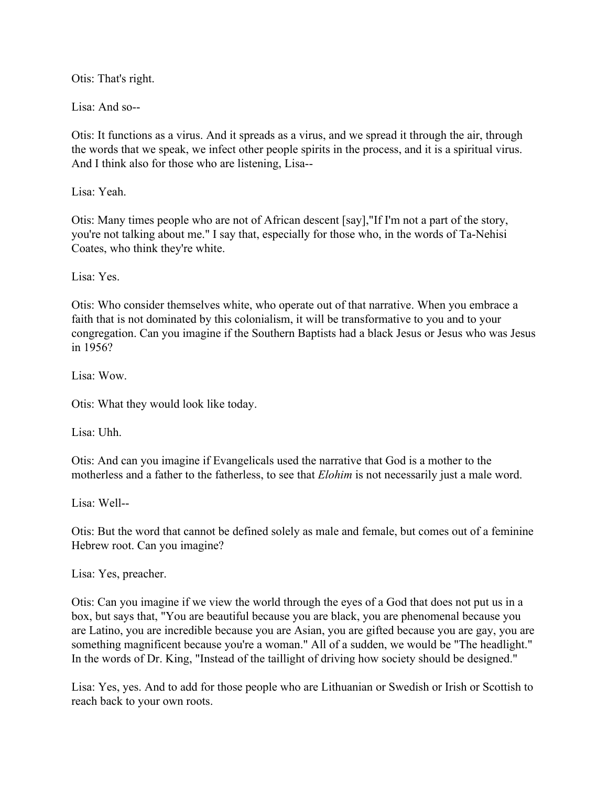Otis: That's right.

Lisa: And so--

Otis: It functions as a virus. And it spreads as a virus, and we spread it through the air, through the words that we speak, we infect other people spirits in the process, and it is a spiritual virus. And I think also for those who are listening, Lisa--

Lisa: Yeah.

Otis: Many times people who are not of African descent [say],"If I'm not a part of the story, you're not talking about me." I say that, especially for those who, in the words of Ta-Nehisi Coates, who think they're white.

Lisa: Yes.

Otis: Who consider themselves white, who operate out of that narrative. When you embrace a faith that is not dominated by this colonialism, it will be transformative to you and to your congregation. Can you imagine if the Southern Baptists had a black Jesus or Jesus who was Jesus in 1956?

Lisa: Wow.

Otis: What they would look like today.

Lisa: Uhh.

Otis: And can you imagine if Evangelicals used the narrative that God is a mother to the motherless and a father to the fatherless, to see that *Elohim* is not necessarily just a male word.

Lisa: Well--

Otis: But the word that cannot be defined solely as male and female, but comes out of a feminine Hebrew root. Can you imagine?

Lisa: Yes, preacher.

Otis: Can you imagine if we view the world through the eyes of a God that does not put us in a box, but says that, "You are beautiful because you are black, you are phenomenal because you are Latino, you are incredible because you are Asian, you are gifted because you are gay, you are something magnificent because you're a woman." All of a sudden, we would be "The headlight." In the words of Dr. King, "Instead of the taillight of driving how society should be designed."

Lisa: Yes, yes. And to add for those people who are Lithuanian or Swedish or Irish or Scottish to reach back to your own roots.